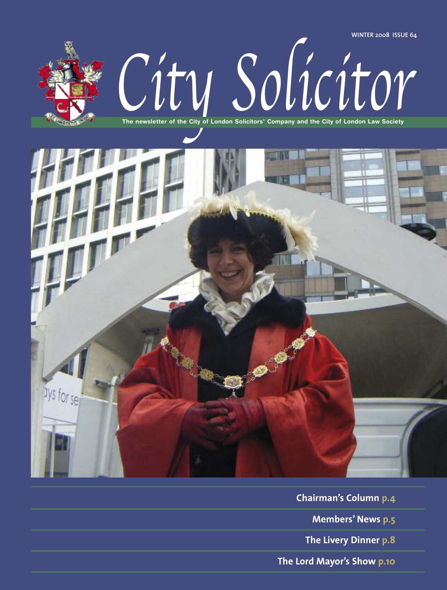



ays for set

**Chairman's Column p.4 Members' News p.5 The Livery Dinner p.8 The Lord Mayor's Show p.10**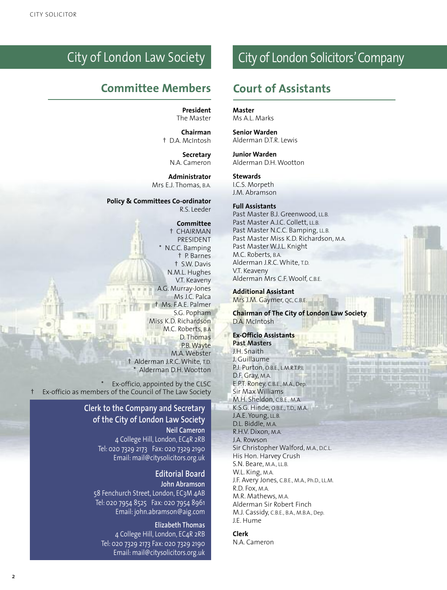### City of London Law Society

#### **Committee Members Court of Assistants**

**President** The Master

**Chairman** † D.A. McIntosh

> **Secretary** N.A. Cameron

**Administrator** Mrs E.J. Thomas, B.A.

**Policy & Committees Co-ordinator** R.S. Leeder

#### **Committee** † CHAIRMAN PRESIDENT

\* N.C.C. Bamping † P. Barnes † S.W. Davis N.M.L. Hughes V.T. Keaveny A.G. Murray-Jones Ms J.C. Palca † Ms. F.A.E. Palmer S.G. Popham Miss K.D. Richardson M.C. Roberts, B.A D. Thomas P.B.Wayte M.A.Webster † Alderman J.R.C.White, T.D. Alderman D.H. Wootton

Ex-officio, appointed by the CLSC † Ex-officio as members of the Council of The Law Society

#### **Clerk to the Company and Secretary of the City of London Law Society**

**Neil Cameron** 4 College Hill, London, EC4R 2RB Tel: 020 7329 2173 Fax: 020 7329 2190 Email: mail@citysolicitors.org.uk

> **Editorial Board John Abramson**

58 Fenchurch Street, London, EC3M 4AB Tel: 020 7954 8525 Fax: 020 7954 8961 Email: john.abramson@aig.com

**Elizabeth Thomas** 4 College Hill, London, EC4R 2RB Tel: 020 7329 2173 Fax: 020 7329 2190 Email: mail@citysolicitors.org.uk

### City of London Solicitors'Company

**Master**

Ms A.L. Marks

**Senior Warden** Alderman D.T.R. Lewis

**Junior Warden** Alderman D.H.Wootton

**Stewards**

I.C.S. Morpeth J.M. Abramson

#### **Full Assistants**

Past Master B.J. Greenwood, LL.B. Past Master A.J.C. Collett, LL.B. Past Master N.C.C. Bamping, LL.B. Past Master Miss K.D. Richardson, M.A. Past Master W.J.L. Knight M.C. Roberts, B.A. Alderman J.R.C.White, T.D. V.T. Keaveny Alderman Mrs C.F.Woolf, C.B.E.

**Additional Assistant** Mrs J.M. Gaymer, QC, C.B.E.

**Chairman of The City of London Law Society** D.A. McIntosh

> hamad I light must heart the **Deliver I feeld times thank to** me takin med født fier

#### **Ex-Officio Assistants**

**Past Masters** J.H. Snaith J. Guillaume P.J. Purton, O.B.E., L.M.R.T.P.I. D.F. Gray, M.A. E.P.T. Roney, C.B.E., M.A., Dep. Sir Max Williams M.H. Sheldon, C.B.E., M.A. K.S.G. Hinde, O.B.E., T.D., M.A. J.A.E. Young, LL.B. D.L. Biddle, M.A. R.H.V. Dixon, M.A. J.A. Rowson Sir Christopher Walford, M.A., D.C.L. His Hon. Harvey Crush S.N. Beare, M.A., LL.B. W.L. King, M.A. J.F. Avery Jones, C.B.E., M.A., Ph.D., LL.M. R.D. Fox, M.A. M.R. Mathews, M.A. Alderman Sir Robert Finch M.J. Cassidy, C.B.E., B.A., M.B.A., Dep. J.E. Hume

#### **Clerk**

N.A. Cameron

2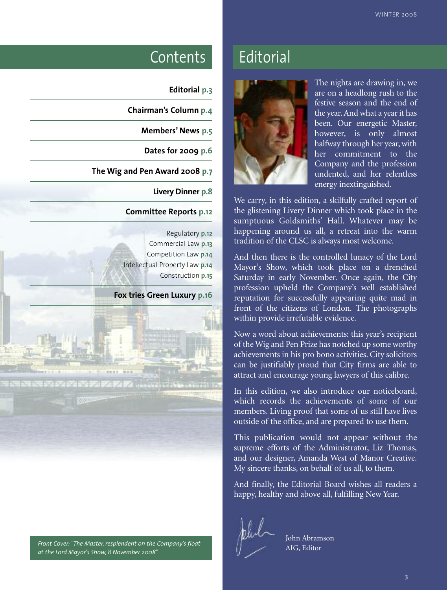## Contents Editorial

**Chairman's Column p.4**

**Members' News p.5**

**Dates for 2009 p.6**

**The Wig and Pen Award 2008 p.7**

**Livery Dinner p.8**

#### **Committee Reports p.12**

Regulatory **p.12** Commercial Law **p.13** Competition Law **p.14** Intellectual Property Law **p.14** Construction **p.15**

**Fox tries Green Luxury p.16**

*Front Cover: "The Master, resplendent on the Company's float at the Lord Mayor's Show, 8 November 2008"*

NG GRAVEN METER



The nights are drawing in, we are on a headlong rush to the festive season and the end of the year. And what a year it has been. Our energetic Master, however, is only almost halfway through her year, with her commitment to the Company and the profession undented, and her relentless energy inextinguished.

We carry, in this edition, a skilfully crafted report of the glistening Livery Dinner which took place in the sumptuous Goldsmiths' Hall. Whatever may be happening around us all, a retreat into the warm tradition of the CLSC is always most welcome.

And then there is the controlled lunacy of the Lord Mayor's Show, which took place on a drenched Saturday in early November. Once again, the City profession upheld the Company's well established reputation for successfully appearing quite mad in front of the citizens of London. The photographs within provide irrefutable evidence.

Now a word about achievements: this year's recipient of the Wig and Pen Prize has notched up some worthy achievements in his pro bono activities. City solicitors can be justifiably proud that City firms are able to attract and encourage young lawyers of this calibre.

In this edition, we also introduce our noticeboard, which records the achievements of some of our members. Living proof that some of us still have lives outside of the office, and are prepared to use them.

This publication would not appear without the supreme efforts of the Administrator, Liz Thomas, and our designer, Amanda West of Manor Creative. My sincere thanks, on behalf of us all, to them.

And finally, the Editorial Board wishes all readers a happy, healthy and above all, fulfilling New Year.



John Abramson AIG, Editor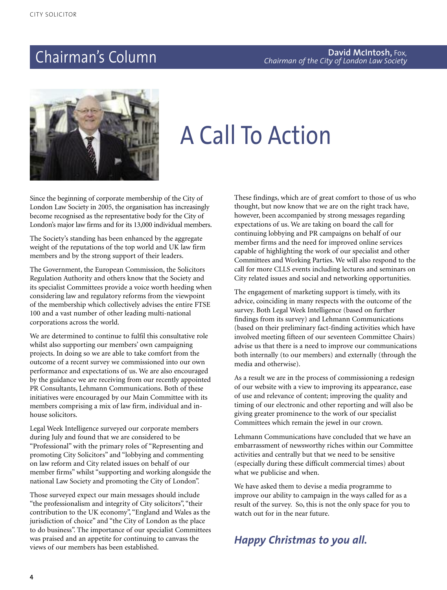

# A Call To Action

Since the beginning of corporate membership of the City of London Law Society in 2005, the organisation has increasingly become recognised as the representative body for the City of London's major law firms and for its 13,000 individual members.

The Society's standing has been enhanced by the aggregate weight of the reputations of the top world and UK law firm members and by the strong support of their leaders.

The Government, the European Commission, the Solicitors Regulation Authority and others know that the Society and its specialist Committees provide a voice worth heeding when considering law and regulatory reforms from the viewpoint of the membership which collectively advises the entire FTSE 100 and a vast number of other leading multi-national corporations across the world.

We are determined to continue to fulfil this consultative role whilst also supporting our members' own campaigning projects. In doing so we are able to take comfort from the outcome of a recent survey we commissioned into our own performance and expectations of us. We are also encouraged by the guidance we are receiving from our recently appointed PR Consultants, Lehmann Communications. Both of these initiatives were encouraged by our Main Committee with its members comprising a mix of law firm, individual and inhouse solicitors.

Legal Week Intelligence surveyed our corporate members during July and found that we are considered to be "Professional" with the primary roles of "Representing and promoting City Solicitors" and "lobbying and commenting on law reform and City related issues on behalf of our member firms" whilst "supporting and working alongside the national Law Society and promoting the City of London".

Those surveyed expect our main messages should include "the professionalism and integrity of City solicitors", "their contribution to the UK economy", "England and Wales as the jurisdiction of choice" and "the City of London as the place to do business". The importance of our specialist Committees was praised and an appetite for continuing to canvass the views of our members has been established.

These findings, which are of great comfort to those of us who thought, but now know that we are on the right track have, however, been accompanied by strong messages regarding expectations of us. We are taking on board the call for continuing lobbying and PR campaigns on behalf of our member firms and the need for improved online services capable of highlighting the work of our specialist and other Committees and Working Parties. We will also respond to the call for more CLLS events including lectures and seminars on City related issues and social and networking opportunities.

The engagement of marketing support is timely, with its advice, coinciding in many respects with the outcome of the survey. Both Legal Week Intelligence (based on further findings from its survey) and Lehmann Communications (based on their preliminary fact-finding activities which have involved meeting fifteen of our seventeen Committee Chairs) advise us that there is a need to improve our communications both internally (to our members) and externally (through the media and otherwise).

As a result we are in the process of commissioning a redesign of our website with a view to improving its appearance, ease of use and relevance of content; improving the quality and timing of our electronic and other reporting and will also be giving greater prominence to the work of our specialist Committees which remain the jewel in our crown.

Lehmann Communications have concluded that we have an embarrassment of newsworthy riches within our Committee activities and centrally but that we need to be sensitive (especially during these difficult commercial times) about what we publicise and when.

We have asked them to devise a media programme to improve our ability to campaign in the ways called for as a result of the survey. So, this is not the only space for you to watch out for in the near future.

#### *Happy Christmas to you all.*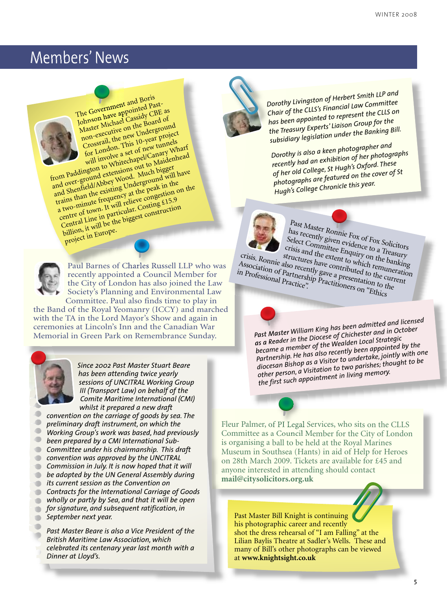## Members' News



The Government and Boris Johnson have appointed Past-Master Michael Cassidy CBE as non-executive on the Board of Crossrail, the new Underground for London. This 10-year project will involve a set of new tunnels will live the set of hew tunners Wharf and over-ground extensions out to Maidenhead

and Shenfield/Abbey Wood. Much bigger and outerweiver the existing Underground will have a two-minute frequency at the peak in the a two-unitate requestion at the peak in the Central Line in particular. Costing £15.9 billion, it will be the biggest construction project in Europe.



Paul Barnes of Charles Russell LLP who was recently appointed a Council Member for the City of London has also joined the Law Society's Planning and Environmental Law Committee. Paul also finds time to play in

the Band of the Royal Yeomanry (ICCY) and marched with the TA in the Lord Mayor's Show and again in ceremonies at Lincoln's Inn and the Canadian War Memorial in Green Park on Remembrance Sunday.



a.

 $\blacksquare$  $\blacksquare$  $\blacksquare$  $\blacksquare$  $\blacksquare$ 

 $\blacksquare$ 

*Since 2002 Past Master Stuart Beare has been attending twice yearly sessions of UNCITRAL Working Group III (Transport Law) on behalf of the Comite Maritime International (CMI) whilst it prepared a new draft convention on the carriage of goods by sea. The preliminary draft instrument, on which the Working Group's work was based, had previously been prepared by a CMI International Sub-Committee under his chairmanship. This draft convention was approved by the UNCITRAL Commission in July. It is now hoped that it will be adopted by the UN General Assembly during its current session as the Convention on Contracts for the International Carriage of Goods wholly or partly by Sea, and that it will be open for signature, and subsequent ratification, in September next year.*

*Past Master Beare is also a Vice President of the British Maritime Law Association, which celebrated its centenary year last month with a Dinner at Lloyd's.*



*Dorothy Livingston of Herbert Smith LLP and Chair of the CLLS's Financia<sup>l</sup> Law Committee has been appointed to represen<sup>t</sup> the CLLS on the Treasury Experts' Liaison Group for the subsidiary legislation under the Banking Bill.*

*Dorothy is also <sup>a</sup> keen photographer and recently had an exhibition of her photographs of her old College, St Hugh's Oxford. These photographs are featured on the cover of St Hugh's College Chronicle this year.*





Past Master Ronnie Fox of Fox Solicitors has recently given evidence to a Treasury Select Committee Enquiry on the banking<br>Crisis. Ronnie also recently gave a presentation of Partnership Practition<br>in Professional December Practition and to the current crisis and the extent to which remuneration structures have contributed to the current crisis. Ronnie also recently gave a presentation to the Association of Partnership Practitioners on "Ethics"<br>in Professional Practice".<br>Figure a presentation to the contributed to the contributed to the contributed to the conin Professional Practice".

*Past Master William King has been admitted and licensed as <sup>a</sup> Reader in the Diocese of Chichester and in October became <sup>a</sup> member of the Wealden Local Strategic Partnership. He has also recently been appointed by the diocesan Bishop as <sup>a</sup> Visitor to undertake, jointly with one other person, <sup>a</sup> Visitation to two parishes; thought to be the first such appointmen<sup>t</sup> in living memory.*

Fleur Palmer, of PI Legal Services, who sits on the CLLS Committee as <sup>a</sup> Council Member for the City of London is organising <sup>a</sup> ball to be held at the Royal Marines Museum in Southsea (Hants) in aid of Help for Heroes on 28th March 2009. Tickets are available for £45 and anyone interested in attending should contact **mail@citysolicitors.org.uk**

Past Master Bill Knight is continuing his photographic career and recently shot the dress rehearsal of "I am Falling" at the Lilian Baylis Theatre at Sadler's Wells. These and many of Bill's other photographs can be viewed at **www.knightsight.co.uk**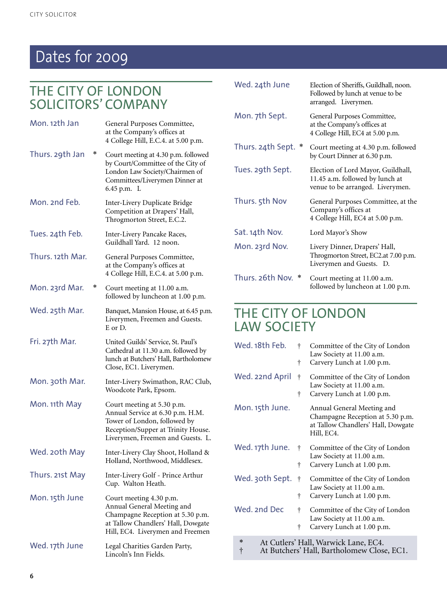## Dates for 2009

#### THE CITY OF LONDON SOLICITORS' COMPANY

| Mon. 12th Jan    |   | General Purposes Committee,                                                                                                                                               |
|------------------|---|---------------------------------------------------------------------------------------------------------------------------------------------------------------------------|
|                  |   | at the Company's offices at<br>4 College Hill, E.C.4. at 5.00 p.m.                                                                                                        |
|                  |   |                                                                                                                                                                           |
| Thurs. 29th Jan  | * | Court meeting at 4.30 p.m. followed<br>by Court/Committee of the City of<br>London Law Society/Chairmen of<br>Committees/Liverymen Dinner at<br>6.45 p.m. L               |
| Mon. 2nd Feb.    |   | Inter-Livery Duplicate Bridge<br>Competition at Drapers' Hall,<br>Throgmorton Street, E.C.2.                                                                              |
| Tues. 24th Feb.  |   | Inter-Livery Pancake Races,<br>Guildhall Yard. 12 noon.                                                                                                                   |
| Thurs. 12th Mar. |   | General Purposes Committee,<br>at the Company's offices at<br>4 College Hill, E.C.4. at 5.00 p.m.                                                                         |
| Mon. 23rd Mar.   | ∗ | Court meeting at 11.00 a.m.<br>followed by luncheon at 1.00 p.m.                                                                                                          |
| Wed. 25th Mar.   |   | Banquet, Mansion House, at 6.45 p.m.<br>Liverymen, Freemen and Guests.<br>E or D.                                                                                         |
| Fri. 27th Mar.   |   | United Guilds' Service, St. Paul's<br>Cathedral at 11.30 a.m. followed by<br>lunch at Butchers' Hall, Bartholomew<br>Close, EC1. Liverymen.                               |
| Mon. 30th Mar.   |   | Inter-Livery Swimathon, RAC Club,<br>Woodcote Park, Epsom.                                                                                                                |
| Mon. 11th May    |   | Court meeting at 5.30 p.m.<br>Annual Service at 6.30 p.m. H.M.<br>Tower of London, followed by<br>Reception/Supper at Trinity House.<br>Liverymen, Freemen and Guests. L. |
| Wed. 20th May    |   | Inter-Livery Clay Shoot, Holland &<br>Holland, Northwood, Middlesex.                                                                                                      |
| Thurs. 21st May  |   | Inter-Livery Golf - Prince Arthur<br>Cup. Walton Heath.                                                                                                                   |
| Mon. 15th June   |   | Court meeting 4.30 p.m.<br>Annual General Meeting and<br>Champagne Reception at 5.30 p.m.<br>at Tallow Chandlers' Hall, Dowgate<br>Hill, EC4. Liverymen and Freemen       |
| Wed. 17th June   |   | Legal Charities Garden Party,<br>Lincoln's Inn Fields.                                                                                                                    |

| Wed. 24th June              | Election of Sheriffs, Guildhall, noon.<br>Followed by lunch at venue to be<br>arranged. Liverymen.        |
|-----------------------------|-----------------------------------------------------------------------------------------------------------|
| Mon. 7th Sept.              | General Purposes Committee,<br>at the Company's offices at<br>4 College Hill, EC4 at 5.00 p.m.            |
| Thurs. 24th Sept.<br>$\ast$ | Court meeting at 4.30 p.m. followed<br>by Court Dinner at 6.30 p.m.                                       |
| Tues. 29th Sept.            | Election of Lord Mayor, Guildhall,<br>11.45 a.m. followed by lunch at<br>venue to be arranged. Liverymen. |
| Thurs. 5th Nov              | General Purposes Committee, at the<br>Company's offices at<br>4 College Hill, EC4 at 5.00 p.m.            |
| Sat. 14th Nov.              | Lord Mayor's Show                                                                                         |
| Mon. 23rd Nov.              | Livery Dinner, Drapers' Hall,<br>Throgmorton Street, EC2.at 7.00 p.m.<br>Liverymen and Guests. D.         |
| Thurs. 26th Nov.<br>∗       | Court meeting at 11.00 a.m.<br>followed by luncheon at 1.00 p.m.                                          |

#### THE CITY OF LONDON LAW SOCIETY

| Wed. 18th Feb.                                 | Ť         | Committee of the City of London<br>Law Society at 11.00 a.m.                                                       |  |
|------------------------------------------------|-----------|--------------------------------------------------------------------------------------------------------------------|--|
|                                                | Ť         | Carvery Lunch at 1.00 p.m.                                                                                         |  |
| Wed. 22nd April                                | $\dagger$ | Committee of the City of London<br>Law Society at 11.00 a.m.                                                       |  |
|                                                | $\dagger$ | Carvery Lunch at 1.00 p.m.                                                                                         |  |
| Mon. 15th June.                                |           | Annual General Meeting and<br>Champagne Reception at 5.30 p.m.<br>at Tallow Chandlers' Hall, Dowgate<br>Hill, EC4. |  |
| Wed. 17th June.                                | ŧ         | Committee of the City of London<br>Law Society at 11.00 a.m.                                                       |  |
|                                                | Ť         | Carvery Lunch at 1.00 p.m.                                                                                         |  |
| Wed. 30th Sept.                                | t         | Committee of the City of London<br>Law Society at 11.00 a.m.                                                       |  |
|                                                | Ť         | Carvery Lunch at 1.00 p.m.                                                                                         |  |
| Wed. 2nd Dec                                   | $\dagger$ | Committee of the City of London<br>Law Society at 11.00 a.m.                                                       |  |
|                                                | Ť         | Carvery Lunch at 1.00 p.m.                                                                                         |  |
| $\ast$<br>At Cutlers' Hall, Warwick Lane, EC4. |           |                                                                                                                    |  |

 $\dagger$  At Butchers' Hall, Bartholomew Close, EC1.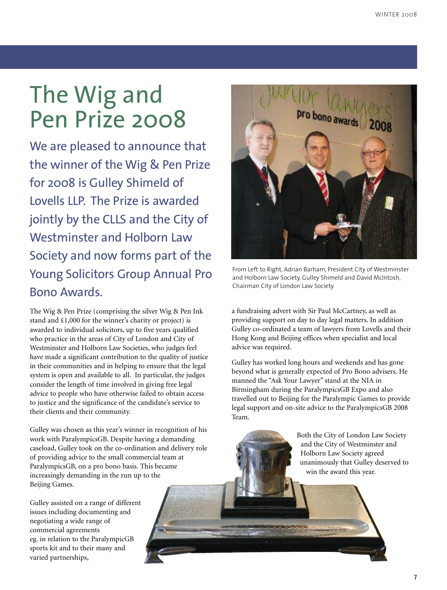## The Wig and Pen Prize 2008

We are pleased to announce that the winner of the Wig & Pen Prize for 2008 is Gulley Shimeld of Lovells LLP. The Prize is awarded jointly by the CLLS and the City of Westminster and Holborn Law Society and now forms part of the Young Solicitors Group Annual Pro Bono Awards.

The Wig & Pen Prize (comprising the silver Wig & Pen Ink stand and  $£1,000$  for the winner's charity or project) is awarded to individual solicitors, up to five years qualified who practice in the areas of City of London and City of Westminster and Holborn Law Societies, who judges feel have made a significant contribution to the quality of justice in their communities and in helping to ensure that the legal system is open and available to all. In particular, the judges consider the length of time involved in giving free legal advice to people who have otherwise failed to obtain access to justice and the significance of the candidate's service to their clients and their community.

Gulley was chosen as this year's winner in recognition of his work with ParalympicsGB. Despite having a demanding caseload, Gulley took on the co-ordination and delivery role of providing advice to the small commercial team at ParalympicsGB, on a pro bono basis. This became increasingly demanding in the run up to the Beijing Games.

Gulley assisted on a range of different issues including documenting and negotiating a wide range of commercial agreements eg. in relation to the ParalympicGB sports kit and to their many and varied partnerships,



From Left to Right, Adrian Barham, President City of Westminster and Holborn Law Society, Gulley Shimeld and David McIntosh, Chairman City of London Law Society.

a fundraising advert with Sir Paul McCartney, as well as providing support on day to day legal matters. In addition Gulley co-ordinated a team of lawyers from Lovells and their Hong Kong and Beijing offices when specialist and local advice was required.

Gulley has worked long hours and weekends and has gone beyond what is generally expected of Pro Bono advisers. He manned the "Ask Your Lawyer" stand at the NIA in Birmingham during the ParalympicsGB Expo and also travelled out to Beijing for the Paralympic Games to provide legal support and on-site advice to the ParalympicsGB 2008 Team.

> Both the City of London Law Society and the City of Westminster and Holborn Law Society agreed unanimously that Gulley deserved to win the award this year.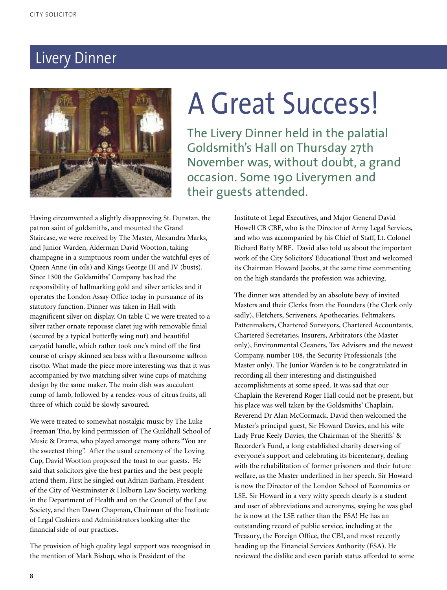## Livery Dinner



# A Great Success!

The Livery Dinner held in the palatial Goldsmith's Hall on Thursday 27th November was, without doubt, a grand occasion. Some 190 Liverymen and their guests attended.

Having circumvented a slightly disapproving St. Dunstan, the patron saint of goldsmiths, and mounted the Grand Staircase, we were received by The Master, Alexandra Marks, and Junior Warden, Alderman David Wootton, taking champagne in a sumptuous room under the watchful eyes of Queen Anne (in oils) and Kings George III and IV (busts). Since 1300 the Goldsmiths' Company has had the responsibility of hallmarking gold and silver articles and it operates the London Assay Office today in pursuance of its statutory function. Dinner was taken in Hall with magnificent silver on display. On table C we were treated to a silver rather ornate repousse claret jug with removable finial (secured by a typical butterfly wing nut) and beautiful caryatid handle, which rather took one's mind off the first course of crispy skinned sea bass with a flavoursome saffron risotto. What made the piece more interesting was that it was accompanied by two matching silver wine cups of matching design by the same maker. The main dish was succulent rump of lamb, followed by a rendez-vous of citrus fruits, all three of which could be slowly savoured.

We were treated to somewhat nostalgic music by The Luke Freeman Trio, by kind permission of The Guildhall School of Music & Drama, who played amongst many others "You are the sweetest thing". After the usual ceremony of the Loving Cup, David Wootton proposed the toast to our guests. He said that solicitors give the best parties and the best people attend them. First he singled out Adrian Barham, President of the City of Westminster & Holborn Law Society, working in the Department of Health and on the Council of the Law Society, and then Dawn Chapman, Chairman of the Institute of Legal Cashiers and Administrators looking after the financial side of our practices.

The provision of high quality legal support was recognised in the mention of Mark Bishop, who is President of the

Institute of Legal Executives, and Major General David Howell CB CBE, who is the Director of Army Legal Services, and who was accompanied by his Chief of Staff, Lt. Colonel Richard Batty MBE. David also told us about the important work of the City Solicitors' Educational Trust and welcomed its Chairman Howard Jacobs, at the same time commenting on the high standards the profession was achieving.

The dinner was attended by an absolute bevy of invited Masters and their Clerks from the Founders (the Clerk only sadly), Fletchers, Scriveners, Apothecaries, Feltmakers, Pattenmakers, Chartered Surveyors, Chartered Accountants, Chartered Secretaries, Insurers, Arbitrators (the Master only), Environmental Cleaners, Tax Advisers and the newest Company, number 108, the Security Professionals (the Master only). The Junior Warden is to be congratulated in recording all their interesting and distinguished accomplishments at some speed. It was sad that our Chaplain the Reverend Roger Hall could not be present, but his place was well taken by the Goldsmiths' Chaplain, Reverend Dr Alan McCormack. David then welcomed the Master's principal guest, Sir Howard Davies, and his wife Lady Prue Keely Davies, the Chairman of the Sheriffs' & Recorder's Fund, a long established charity deserving of everyone's support and celebrating its bicentenary, dealing with the rehabilitation of former prisoners and their future welfare, as the Master underlined in her speech. Sir Howard is now the Director of the London School of Economics or LSE. Sir Howard in a very witty speech clearly is a student and user of abbreviations and acronyms, saying he was glad he is now at the LSE rather than the FSA! He has an outstanding record of public service, including at the Treasury, the Foreign Office, the CBI, and most recently heading up the Financial Services Authority (FSA). He reviewed the dislike and even pariah status afforded to some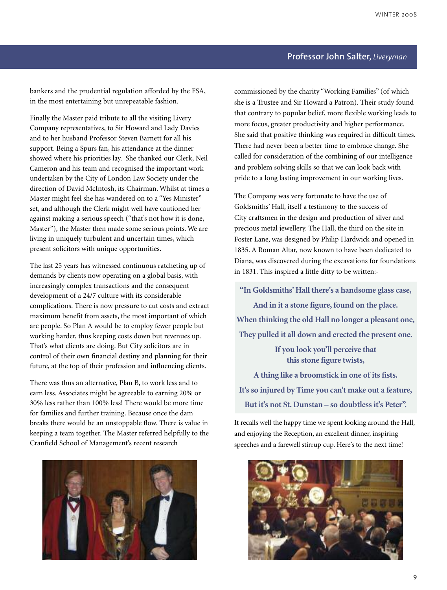#### **Professor John Salter,** *Liveryman*

bankers and the prudential regulation afforded by the FSA, in the most entertaining but unrepeatable fashion.

Finally the Master paid tribute to all the visiting Livery Company representatives, to Sir Howard and Lady Davies and to her husband Professor Steven Barnett for all his support. Being a Spurs fan, his attendance at the dinner showed where his priorities lay. She thanked our Clerk, Neil Cameron and his team and recognised the important work undertaken by the City of London Law Society under the direction of David McIntosh, its Chairman. Whilst at times a Master might feel she has wandered on to a "Yes Minister" set, and although the Clerk might well have cautioned her against making a serious speech ("that's not how it is done, Master"), the Master then made some serious points. We are living in uniquely turbulent and uncertain times, which present solicitors with unique opportunities.

The last 25 years has witnessed continuous ratcheting up of demands by clients now operating on a global basis, with increasingly complex transactions and the consequent development of a 24/7 culture with its considerable complications. There is now pressure to cut costs and extract maximum benefit from assets, the most important of which are people. So Plan A would be to employ fewer people but working harder, thus keeping costs down but revenues up. That's what clients are doing. But City solicitors are in control of their own financial destiny and planning for their future, at the top of their profession and influencing clients.

There was thus an alternative, Plan B, to work less and to earn less. Associates might be agreeable to earning 20% or 30% less rather than 100% less! There would be more time for families and further training. Because once the dam breaks there would be an unstoppable flow. There is value in keeping a team together. The Master referred helpfully to the Cranfield School of Management's recent research



commissioned by the charity "Working Families" (of which she is a Trustee and Sir Howard a Patron). Their study found that contrary to popular belief, more flexible working leads to more focus, greater productivity and higher performance. She said that positive thinking was required in difficult times. There had never been a better time to embrace change. She called for consideration of the combining of our intelligence and problem solving skills so that we can look back with pride to a long lasting improvement in our working lives.

The Company was very fortunate to have the use of Goldsmiths' Hall, itself a testimony to the success of City craftsmen in the design and production of silver and precious metal jewellery. The Hall, the third on the site in Foster Lane, was designed by Philip Hardwick and opened in 1835. A Roman Altar, now known to have been dedicated to Diana, was discovered during the excavations for foundations in 1831. This inspired a little ditty to be written:-

**"In Goldsmiths'Hall there's a handsome glass case, And in it a stone figure, found on the place. When thinking the old Hall no longer a pleasant one, They pulled it all down and erected the present one.**

> **If you look you'll perceive that thisstone figure twists,**

**A thing like a broomstick in one of itsfists. It'sso injured by Time you can't make out a feature, But it's not St. Dunstan – so doubtlessit's Peter".**

It recalls well the happy time we spent looking around the Hall, and enjoying the Reception, an excellent dinner, inspiring speeches and a farewell stirrup cup. Here's to the next time!

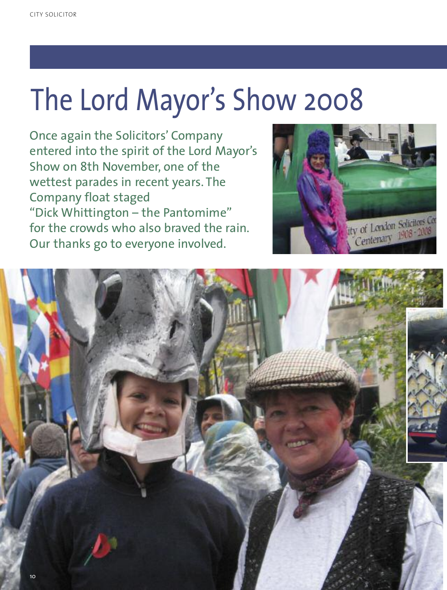# The Lord Mayor's Show 2008

Once again the Solicitors' Company entered into the spirit of the Lord Mayor's Show on 8th November, one of the wettest parades in recent years. The Company float staged "Dick Whittington – the Pantomime" for the crowds who also braved the rain. Our thanks go to everyone involved.



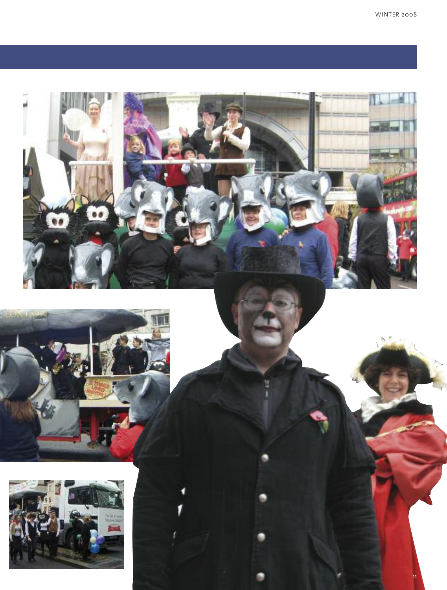11





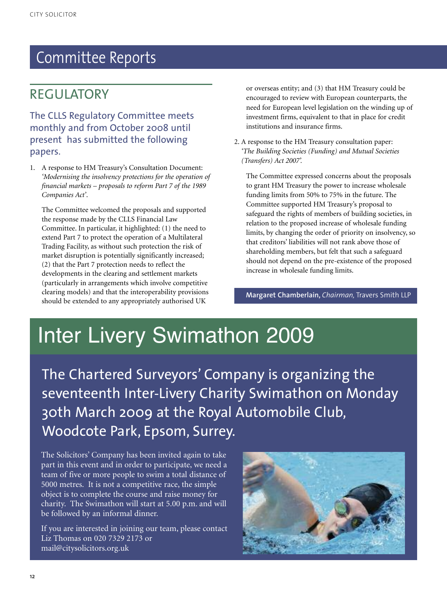### REGULATORY

The CLLS Regulatory Committee meets monthly and from October 2008 until present has submitted the following papers.

1. A response to HM Treasury's Consultation Document: *'Modernising the insolvency protections for the operation of financial markets – proposals to reform Part 7 of the 1989 Companies Act'*.

The Committee welcomed the proposals and supported the response made by the CLLS Financial Law Committee. In particular, it highlighted: (1) the need to extend Part 7 to protect the operation of a Multilateral Trading Facility, as without such protection the risk of market disruption is potentially significantly increased; (2) that the Part 7 protection needs to reflect the developments in the clearing and settlement markets (particularly in arrangements which involve competitive clearing models) and that the interoperability provisions should be extended to any appropriately authorised UK

or overseas entity; and (3) that HM Treasury could be encouraged to review with European counterparts, the need for European level legislation on the winding up of investment firms, equivalent to that in place for credit institutions and insurance firms.

2. A response to the HM Treasury consultation paper: *'The Building Societies (Funding) and Mutual Societies (Transfers) Act 2007'.*

The Committee expressed concerns about the proposals to grant HM Treasury the power to increase wholesale funding limits from 50% to 75% in the future. The Committee supported HM Treasury's proposal to safeguard the rights of members of building societies, in relation to the proposed increase of wholesale funding limits, by changing the order of priority on insolvency, so that creditors' liabilities will not rank above those of shareholding members, but felt that such a safeguard should not depend on the pre-existence of the proposed increase in wholesale funding limits.

**Margaret Chamberlain,** *Chairman,* Travers Smith LLP

## Inter Livery Swimathon 2009

The Chartered Surveyors' Company is organizing the seventeenth Inter-Livery Charity Swimathon on Monday 30th March 2009 at the Royal Automobile Club, Woodcote Park, Epsom, Surrey.

The Solicitors' Company has been invited again to take part in this event and in order to participate, we need a team of five or more people to swim a total distance of 5000 metres. It is not a competitive race, the simple object is to complete the course and raise money for charity. The Swimathon will start at 5.00 p.m. and will be followed by an informal dinner.

If you are interested in joining our team, please contact Liz Thomas on 020 7329 2173 or mail@citysolicitors.org.uk

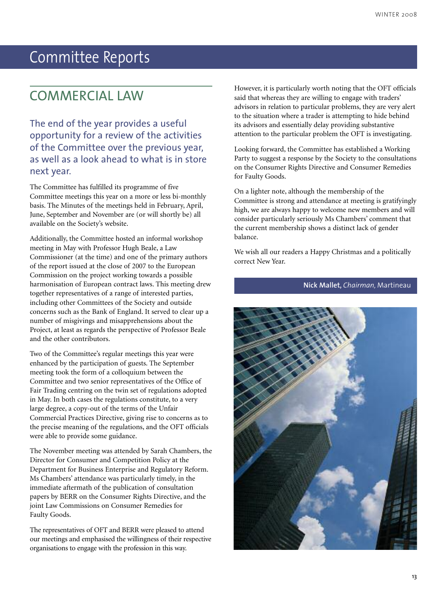### COMMERCIAL LAW

The end of the year provides a useful opportunity for a review of the activities of the Committee over the previous year, as well as a look ahead to what is in store next year.

The Committee has fulfilled its programme of five Committee meetings this year on a more or less bi-monthly basis. The Minutes of the meetings held in February, April, June, September and November are (or will shortly be) all available on the Society's website.

Additionally, the Committee hosted an informal workshop meeting in May with Professor Hugh Beale, a Law Commissioner (at the time) and one of the primary authors of the report issued at the close of 2007 to the European Commission on the project working towards a possible harmonisation of European contract laws. This meeting drew together representatives of a range of interested parties, including other Committees of the Society and outside concerns such as the Bank of England. It served to clear up a number of misgivings and misapprehensions about the Project, at least as regards the perspective of Professor Beale and the other contributors.

Two of the Committee's regular meetings this year were enhanced by the participation of guests. The September meeting took the form of a colloquium between the Committee and two senior representatives of the Office of Fair Trading centring on the twin set of regulations adopted in May. In both cases the regulations constitute, to a very large degree, a copy-out of the terms of the Unfair Commercial Practices Directive, giving rise to concerns as to the precise meaning of the regulations, and the OFT officials were able to provide some guidance.

The November meeting was attended by Sarah Chambers, the Director for Consumer and Competition Policy at the Department for Business Enterprise and Regulatory Reform. Ms Chambers' attendance was particularly timely, in the immediate aftermath of the publication of consultation papers by BERR on the Consumer Rights Directive, and the joint Law Commissions on Consumer Remedies for Faulty Goods.

The representatives of OFT and BERR were pleased to attend our meetings and emphasised the willingness of their respective organisations to engage with the profession in this way.

However, it is particularly worth noting that the OFT officials said that whereas they are willing to engage with traders' advisors in relation to particular problems, they are very alert to the situation where a trader is attempting to hide behind its advisors and essentially delay providing substantive attention to the particular problem the OFT is investigating.

Looking forward, the Committee has established a Working Party to suggest a response by the Society to the consultations on the Consumer Rights Directive and Consumer Remedies for Faulty Goods.

On a lighter note, although the membership of the Committee is strong and attendance at meeting is gratifyingly high, we are always happy to welcome new members and will consider particularly seriously Ms Chambers' comment that the current membership shows a distinct lack of gender balance.

We wish all our readers a Happy Christmas and a politically correct New Year.

#### **Nick Mallet,** *Chairman,* Martineau

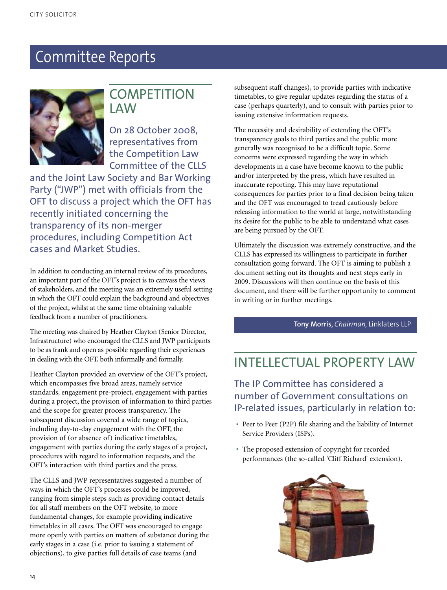

#### **COMPETITION** LAW

On 28 October 2008, representatives from the Competition Law Committee of the CLLS

and the Joint Law Society and Bar Working Party ("JWP") met with officials from the OFT to discuss a project which the OFT has recently initiated concerning the transparency of its non-merger procedures, including Competition Act cases and Market Studies.

In addition to conducting an internal review of its procedures, an important part of the OFT's project is to canvass the views of stakeholders, and the meeting was an extremely useful setting in which the OFT could explain the background and objectives of the project, whilst at the same time obtaining valuable feedback from a number of practitioners.

The meeting was chaired by Heather Clayton (Senior Director, Infrastructure) who encouraged the CLLS and JWP participants to be as frank and open as possible regarding their experiences in dealing with the OFT, both informally and formally.

Heather Clayton provided an overview of the OFT's project, which encompasses five broad areas, namely service standards, engagement pre-project, engagement with parties during a project, the provision of information to third parties and the scope for greater process transparency. The subsequent discussion covered a wide range of topics, including day-to-day engagement with the OFT, the provision of (or absence of) indicative timetables, engagement with parties during the early stages of a project, procedures with regard to information requests, and the OFT's interaction with third parties and the press.

The CLLS and JWP representatives suggested a number of ways in which the OFT's processes could be improved, ranging from simple steps such as providing contact details for all staff members on the OFT website, to more fundamental changes, for example providing indicative timetables in all cases. The OFT was encouraged to engage more openly with parties on matters of substance during the early stages in a case (i.e. prior to issuing a statement of objections), to give parties full details of case teams (and

subsequent staff changes), to provide parties with indicative timetables, to give regular updates regarding the status of a case (perhaps quarterly), and to consult with parties prior to issuing extensive information requests.

The necessity and desirability of extending the OFT's transparency goals to third parties and the public more generally was recognised to be a difficult topic. Some concerns were expressed regarding the way in which developments in a case have become known to the public and/or interpreted by the press, which have resulted in inaccurate reporting. This may have reputational consequences for parties prior to a final decision being taken and the OFT was encouraged to tread cautiously before releasing information to the world at large, notwithstanding its desire for the public to be able to understand what cases are being pursued by the OFT.

Ultimately the discussion was extremely constructive, and the CLLS has expressed its willingness to participate in further consultation going forward. The OFT is aiming to publish a document setting out its thoughts and next steps early in 2009. Discussions will then continue on the basis of this document, and there will be further opportunity to comment in writing or in further meetings.

#### **Tony Morris,** *Chairman,* Linklaters LLP

### INTELLECTUAL PROPERTY LAW

The IP Committee has considered a number of Government consultations on IP-related issues, particularly in relation to:

- Peer to Peer (P2P) file sharing and the liability of Internet Service Providers (ISPs).
- The proposed extension of copyright for recorded performances (the so-called 'Cliff Richard' extension).

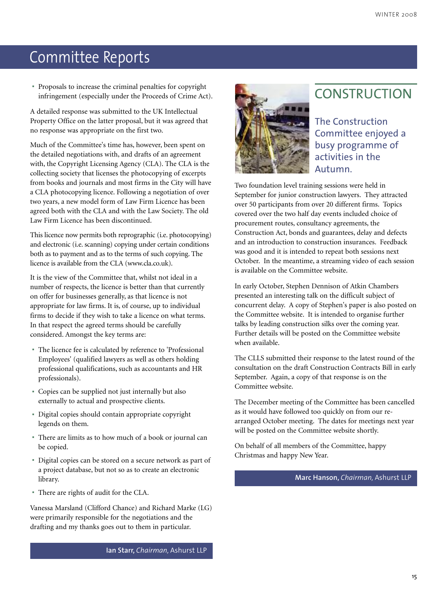• Proposals to increase the criminal penalties for copyright infringement (especially under the Proceeds of Crime Act).

A detailed response was submitted to the UK Intellectual Property Office on the latter proposal, but it was agreed that no response was appropriate on the first two.

Much of the Committee's time has, however, been spent on the detailed negotiations with, and drafts of an agreement with, the Copyright Licensing Agency (CLA). The CLA is the collecting society that licenses the photocopying of excerpts from books and journals and most firms in the City will have a CLA photocopying licence. Following a negotiation of over two years, a new model form of Law Firm Licence has been agreed both with the CLA and with the Law Society. The old Law Firm Licence has been discontinued.

This licence now permits both reprographic (i.e. photocopying) and electronic (i.e. scanning) copying under certain conditions both as to payment and as to the terms of such copying. The licence is available from the CLA (www.cla.co.uk).

It is the view of the Committee that, whilst not ideal in a number of respects, the licence is better than that currently on offer for businesses generally, as that licence is not appropriate for law firms. It is, of course, up to individual firms to decide if they wish to take a licence on what terms. In that respect the agreed terms should be carefully considered. Amongst the key terms are:

- The licence fee is calculated by reference to 'Professional Employees' (qualified lawyers as well as others holding professional qualifications, such as accountants and HR professionals).
- Copies can be supplied not just internally but also externally to actual and prospective clients.
- Digital copies should contain appropriate copyright legends on them.
- There are limits as to how much of <sup>a</sup> book or journal can be copied.
- Digital copies can be stored on <sup>a</sup> secure network as part of a project database, but not so as to create an electronic library.
- There are rights of audit for the CLA.

Vanessa Marsland (Clifford Chance) and Richard Marke (LG) were primarily responsible for the negotiations and the drafting and my thanks goes out to them in particular.



### **CONSTRUCTION**

The Construction Committee enjoyed a busy programme of activities in the Autumn.

Two foundation level training sessions were held in September for junior construction lawyers. They attracted over 50 participants from over 20 different firms. Topics covered over the two half day events included choice of procurement routes, consultancy agreements, the Construction Act, bonds and guarantees, delay and defects and an introduction to construction insurances. Feedback was good and it is intended to repeat both sessions next October. In the meantime, a streaming video of each session is available on the Committee website.

In early October, Stephen Dennison of Atkin Chambers presented an interesting talk on the difficult subject of concurrent delay. A copy of Stephen's paper is also posted on the Committee website. It is intended to organise further talks by leading construction silks over the coming year. Further details will be posted on the Committee website when available.

The CLLS submitted their response to the latest round of the consultation on the draft Construction Contracts Bill in early September. Again, a copy of that response is on the Committee website.

The December meeting of the Committee has been cancelled as it would have followed too quickly on from our rearranged October meeting. The dates for meetings next year will be posted on the Committee website shortly.

On behalf of all members of the Committee, happy Christmas and happy New Year.

#### **Marc Hanson,** *Chairman,* Ashurst LLP